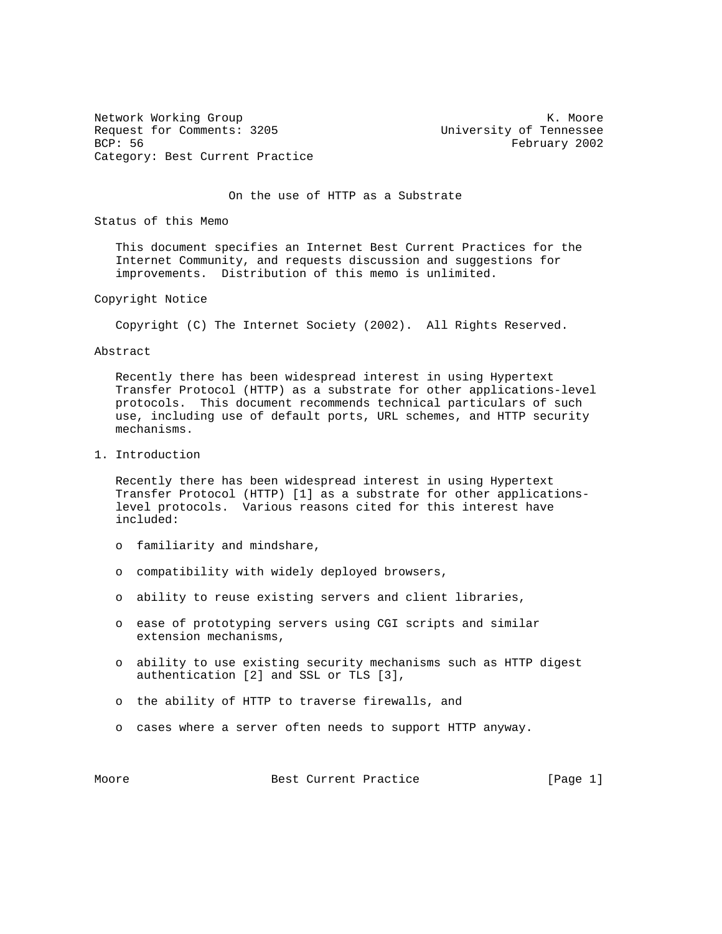Network Working Group Network Working Group Network Working Group Network Network Network Network Network Network Request for Comments: 3205<br>BCP: 56 February 2002 Category: Best Current Practice

February 2002

On the use of HTTP as a Substrate

Status of this Memo

 This document specifies an Internet Best Current Practices for the Internet Community, and requests discussion and suggestions for improvements. Distribution of this memo is unlimited.

Copyright Notice

Copyright (C) The Internet Society (2002). All Rights Reserved.

Abstract

 Recently there has been widespread interest in using Hypertext Transfer Protocol (HTTP) as a substrate for other applications-level protocols. This document recommends technical particulars of such use, including use of default ports, URL schemes, and HTTP security mechanisms.

1. Introduction

 Recently there has been widespread interest in using Hypertext Transfer Protocol (HTTP) [1] as a substrate for other applications level protocols. Various reasons cited for this interest have included:

- o familiarity and mindshare,
- o compatibility with widely deployed browsers,
- o ability to reuse existing servers and client libraries,
- o ease of prototyping servers using CGI scripts and similar extension mechanisms,
- o ability to use existing security mechanisms such as HTTP digest authentication [2] and SSL or TLS [3],
- o the ability of HTTP to traverse firewalls, and
- o cases where a server often needs to support HTTP anyway.

Moore **Best Current Practice** [Page 1]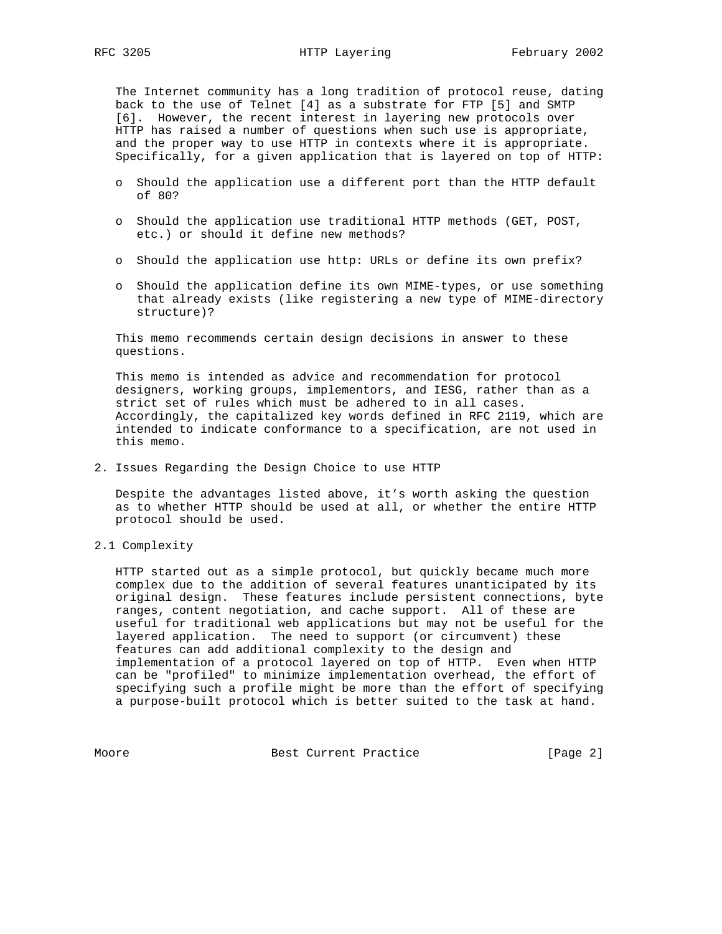The Internet community has a long tradition of protocol reuse, dating back to the use of Telnet [4] as a substrate for FTP [5] and SMTP [6]. However, the recent interest in layering new protocols over HTTP has raised a number of questions when such use is appropriate, and the proper way to use HTTP in contexts where it is appropriate. Specifically, for a given application that is layered on top of HTTP:

- o Should the application use a different port than the HTTP default of 80?
- o Should the application use traditional HTTP methods (GET, POST, etc.) or should it define new methods?
- o Should the application use http: URLs or define its own prefix?
- o Should the application define its own MIME-types, or use something that already exists (like registering a new type of MIME-directory structure)?

 This memo recommends certain design decisions in answer to these questions.

 This memo is intended as advice and recommendation for protocol designers, working groups, implementors, and IESG, rather than as a strict set of rules which must be adhered to in all cases. Accordingly, the capitalized key words defined in RFC 2119, which are intended to indicate conformance to a specification, are not used in this memo.

2. Issues Regarding the Design Choice to use HTTP

 Despite the advantages listed above, it's worth asking the question as to whether HTTP should be used at all, or whether the entire HTTP protocol should be used.

2.1 Complexity

 HTTP started out as a simple protocol, but quickly became much more complex due to the addition of several features unanticipated by its original design. These features include persistent connections, byte ranges, content negotiation, and cache support. All of these are useful for traditional web applications but may not be useful for the layered application. The need to support (or circumvent) these features can add additional complexity to the design and implementation of a protocol layered on top of HTTP. Even when HTTP can be "profiled" to minimize implementation overhead, the effort of specifying such a profile might be more than the effort of specifying a purpose-built protocol which is better suited to the task at hand.

Moore Best Current Practice [Page 2]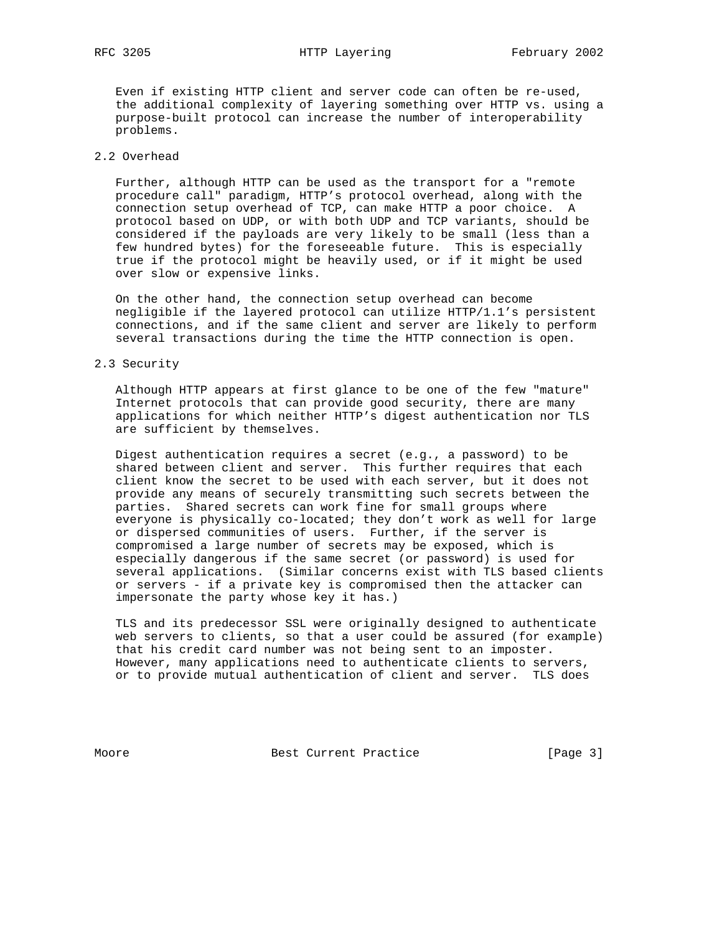Even if existing HTTP client and server code can often be re-used, the additional complexity of layering something over HTTP vs. using a purpose-built protocol can increase the number of interoperability problems.

## 2.2 Overhead

 Further, although HTTP can be used as the transport for a "remote procedure call" paradigm, HTTP's protocol overhead, along with the connection setup overhead of TCP, can make HTTP a poor choice. A protocol based on UDP, or with both UDP and TCP variants, should be considered if the payloads are very likely to be small (less than a few hundred bytes) for the foreseeable future. This is especially true if the protocol might be heavily used, or if it might be used over slow or expensive links.

 On the other hand, the connection setup overhead can become negligible if the layered protocol can utilize HTTP/1.1's persistent connections, and if the same client and server are likely to perform several transactions during the time the HTTP connection is open.

## 2.3 Security

 Although HTTP appears at first glance to be one of the few "mature" Internet protocols that can provide good security, there are many applications for which neither HTTP's digest authentication nor TLS are sufficient by themselves.

 Digest authentication requires a secret (e.g., a password) to be shared between client and server. This further requires that each client know the secret to be used with each server, but it does not provide any means of securely transmitting such secrets between the parties. Shared secrets can work fine for small groups where everyone is physically co-located; they don't work as well for large or dispersed communities of users. Further, if the server is compromised a large number of secrets may be exposed, which is especially dangerous if the same secret (or password) is used for several applications. (Similar concerns exist with TLS based clients or servers - if a private key is compromised then the attacker can impersonate the party whose key it has.)

 TLS and its predecessor SSL were originally designed to authenticate web servers to clients, so that a user could be assured (for example) that his credit card number was not being sent to an imposter. However, many applications need to authenticate clients to servers, or to provide mutual authentication of client and server. TLS does

Moore Best Current Practice [Page 3]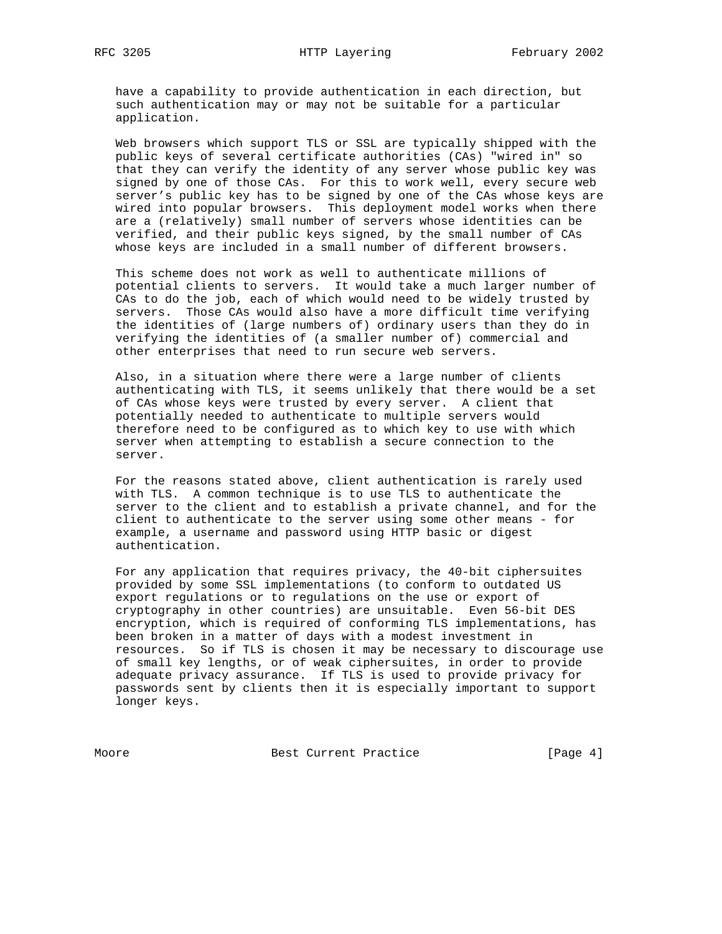have a capability to provide authentication in each direction, but such authentication may or may not be suitable for a particular application.

 Web browsers which support TLS or SSL are typically shipped with the public keys of several certificate authorities (CAs) "wired in" so that they can verify the identity of any server whose public key was signed by one of those CAs. For this to work well, every secure web server's public key has to be signed by one of the CAs whose keys are wired into popular browsers. This deployment model works when there are a (relatively) small number of servers whose identities can be verified, and their public keys signed, by the small number of CAs whose keys are included in a small number of different browsers.

 This scheme does not work as well to authenticate millions of potential clients to servers. It would take a much larger number of CAs to do the job, each of which would need to be widely trusted by servers. Those CAs would also have a more difficult time verifying the identities of (large numbers of) ordinary users than they do in verifying the identities of (a smaller number of) commercial and other enterprises that need to run secure web servers.

 Also, in a situation where there were a large number of clients authenticating with TLS, it seems unlikely that there would be a set of CAs whose keys were trusted by every server. A client that potentially needed to authenticate to multiple servers would therefore need to be configured as to which key to use with which server when attempting to establish a secure connection to the server.

 For the reasons stated above, client authentication is rarely used with TLS. A common technique is to use TLS to authenticate the server to the client and to establish a private channel, and for the client to authenticate to the server using some other means - for example, a username and password using HTTP basic or digest authentication.

 For any application that requires privacy, the 40-bit ciphersuites provided by some SSL implementations (to conform to outdated US export regulations or to regulations on the use or export of cryptography in other countries) are unsuitable. Even 56-bit DES encryption, which is required of conforming TLS implementations, has been broken in a matter of days with a modest investment in resources. So if TLS is chosen it may be necessary to discourage use of small key lengths, or of weak ciphersuites, in order to provide adequate privacy assurance. If TLS is used to provide privacy for passwords sent by clients then it is especially important to support longer keys.

Moore Best Current Practice [Page 4]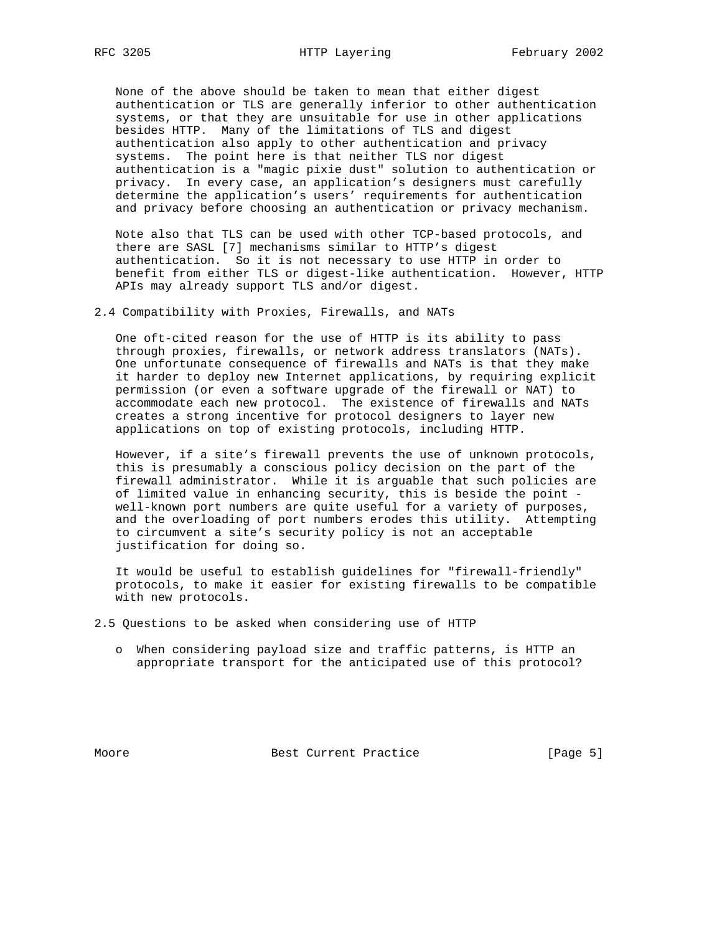None of the above should be taken to mean that either digest authentication or TLS are generally inferior to other authentication systems, or that they are unsuitable for use in other applications besides HTTP. Many of the limitations of TLS and digest authentication also apply to other authentication and privacy systems. The point here is that neither TLS nor digest authentication is a "magic pixie dust" solution to authentication or privacy. In every case, an application's designers must carefully determine the application's users' requirements for authentication and privacy before choosing an authentication or privacy mechanism.

 Note also that TLS can be used with other TCP-based protocols, and there are SASL [7] mechanisms similar to HTTP's digest authentication. So it is not necessary to use HTTP in order to benefit from either TLS or digest-like authentication. However, HTTP APIs may already support TLS and/or digest.

2.4 Compatibility with Proxies, Firewalls, and NATs

 One oft-cited reason for the use of HTTP is its ability to pass through proxies, firewalls, or network address translators (NATs). One unfortunate consequence of firewalls and NATs is that they make it harder to deploy new Internet applications, by requiring explicit permission (or even a software upgrade of the firewall or NAT) to accommodate each new protocol. The existence of firewalls and NATs creates a strong incentive for protocol designers to layer new applications on top of existing protocols, including HTTP.

 However, if a site's firewall prevents the use of unknown protocols, this is presumably a conscious policy decision on the part of the firewall administrator. While it is arguable that such policies are of limited value in enhancing security, this is beside the point well-known port numbers are quite useful for a variety of purposes, and the overloading of port numbers erodes this utility. Attempting to circumvent a site's security policy is not an acceptable justification for doing so.

 It would be useful to establish guidelines for "firewall-friendly" protocols, to make it easier for existing firewalls to be compatible with new protocols.

2.5 Questions to be asked when considering use of HTTP

 o When considering payload size and traffic patterns, is HTTP an appropriate transport for the anticipated use of this protocol?

Moore Best Current Practice [Page 5]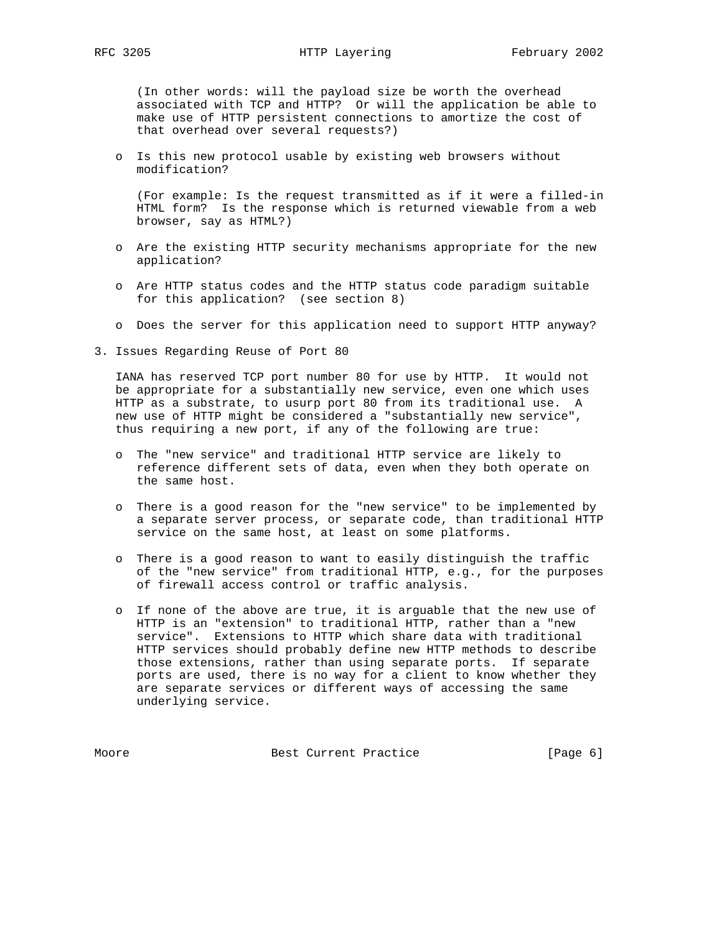(In other words: will the payload size be worth the overhead associated with TCP and HTTP? Or will the application be able to make use of HTTP persistent connections to amortize the cost of that overhead over several requests?)

 o Is this new protocol usable by existing web browsers without modification?

 (For example: Is the request transmitted as if it were a filled-in HTML form? Is the response which is returned viewable from a web browser, say as HTML?)

- o Are the existing HTTP security mechanisms appropriate for the new application?
- o Are HTTP status codes and the HTTP status code paradigm suitable for this application? (see section 8)
- o Does the server for this application need to support HTTP anyway?
- 3. Issues Regarding Reuse of Port 80

 IANA has reserved TCP port number 80 for use by HTTP. It would not be appropriate for a substantially new service, even one which uses HTTP as a substrate, to usurp port 80 from its traditional use. A new use of HTTP might be considered a "substantially new service", thus requiring a new port, if any of the following are true:

- o The "new service" and traditional HTTP service are likely to reference different sets of data, even when they both operate on the same host.
- o There is a good reason for the "new service" to be implemented by a separate server process, or separate code, than traditional HTTP service on the same host, at least on some platforms.
- o There is a good reason to want to easily distinguish the traffic of the "new service" from traditional HTTP, e.g., for the purposes of firewall access control or traffic analysis.
- o If none of the above are true, it is arguable that the new use of HTTP is an "extension" to traditional HTTP, rather than a "new service". Extensions to HTTP which share data with traditional HTTP services should probably define new HTTP methods to describe those extensions, rather than using separate ports. If separate ports are used, there is no way for a client to know whether they are separate services or different ways of accessing the same underlying service.

Moore Best Current Practice [Page 6]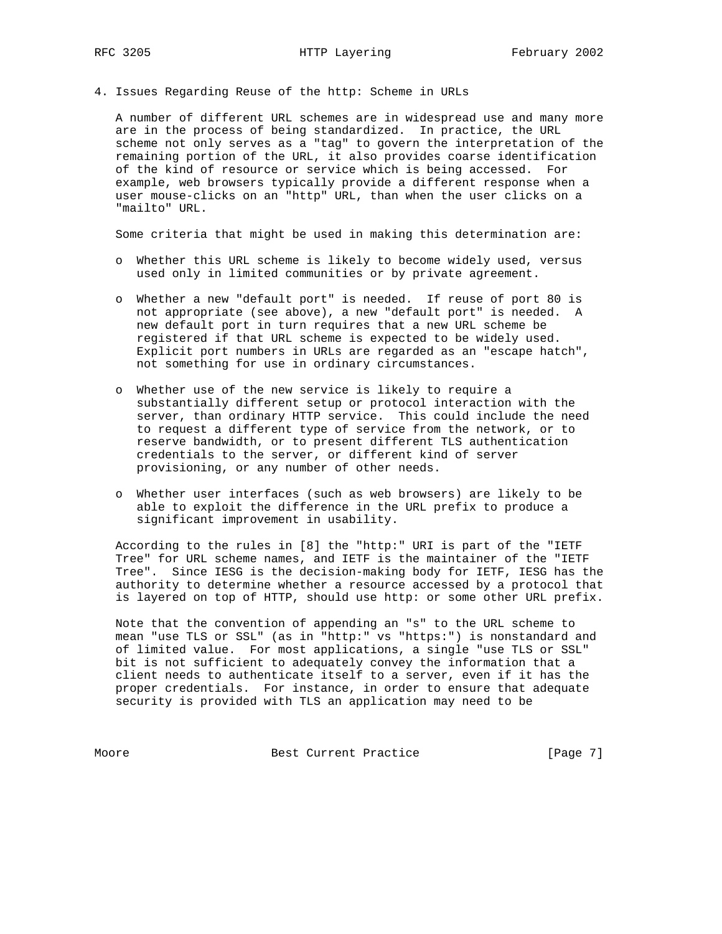4. Issues Regarding Reuse of the http: Scheme in URLs

 A number of different URL schemes are in widespread use and many more are in the process of being standardized. In practice, the URL scheme not only serves as a "tag" to govern the interpretation of the remaining portion of the URL, it also provides coarse identification of the kind of resource or service which is being accessed. For example, web browsers typically provide a different response when a user mouse-clicks on an "http" URL, than when the user clicks on a "mailto" URL.

Some criteria that might be used in making this determination are:

- o Whether this URL scheme is likely to become widely used, versus used only in limited communities or by private agreement.
- o Whether a new "default port" is needed. If reuse of port 80 is not appropriate (see above), a new "default port" is needed. A new default port in turn requires that a new URL scheme be registered if that URL scheme is expected to be widely used. Explicit port numbers in URLs are regarded as an "escape hatch", not something for use in ordinary circumstances.
- o Whether use of the new service is likely to require a substantially different setup or protocol interaction with the server, than ordinary HTTP service. This could include the need to request a different type of service from the network, or to reserve bandwidth, or to present different TLS authentication credentials to the server, or different kind of server provisioning, or any number of other needs.
- o Whether user interfaces (such as web browsers) are likely to be able to exploit the difference in the URL prefix to produce a significant improvement in usability.

 According to the rules in [8] the "http:" URI is part of the "IETF Tree" for URL scheme names, and IETF is the maintainer of the "IETF Tree". Since IESG is the decision-making body for IETF, IESG has the authority to determine whether a resource accessed by a protocol that is layered on top of HTTP, should use http: or some other URL prefix.

 Note that the convention of appending an "s" to the URL scheme to mean "use TLS or SSL" (as in "http:" vs "https:") is nonstandard and of limited value. For most applications, a single "use TLS or SSL" bit is not sufficient to adequately convey the information that a client needs to authenticate itself to a server, even if it has the proper credentials. For instance, in order to ensure that adequate security is provided with TLS an application may need to be

Moore Best Current Practice [Page 7]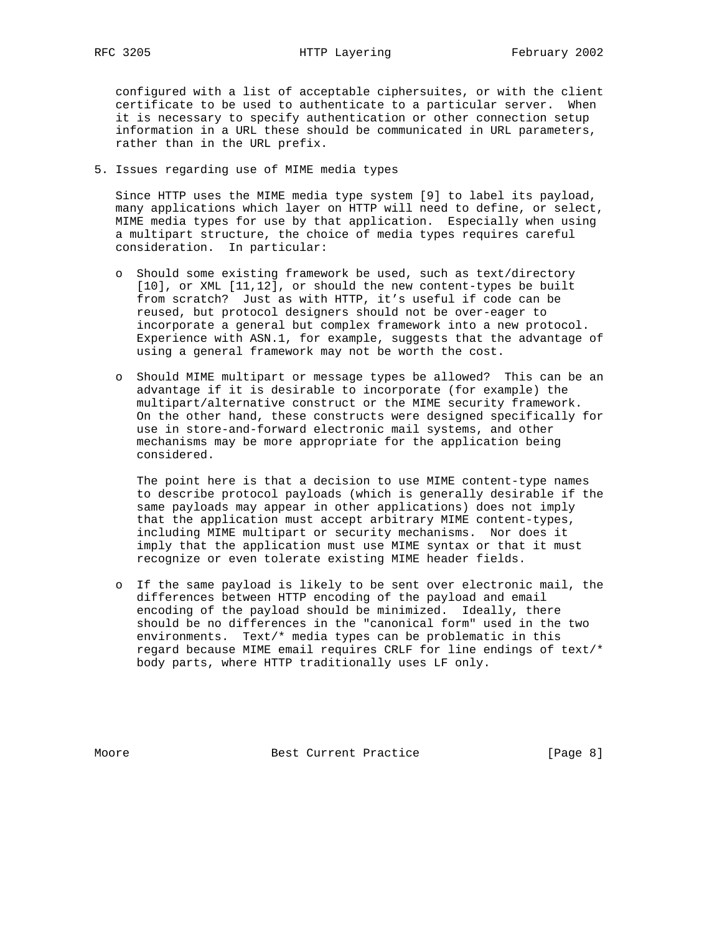configured with a list of acceptable ciphersuites, or with the client certificate to be used to authenticate to a particular server. When it is necessary to specify authentication or other connection setup information in a URL these should be communicated in URL parameters, rather than in the URL prefix.

5. Issues regarding use of MIME media types

 Since HTTP uses the MIME media type system [9] to label its payload, many applications which layer on HTTP will need to define, or select, MIME media types for use by that application. Especially when using a multipart structure, the choice of media types requires careful consideration. In particular:

- o Should some existing framework be used, such as text/directory [10], or XML [11,12], or should the new content-types be built from scratch? Just as with HTTP, it's useful if code can be reused, but protocol designers should not be over-eager to incorporate a general but complex framework into a new protocol. Experience with ASN.1, for example, suggests that the advantage of using a general framework may not be worth the cost.
- o Should MIME multipart or message types be allowed? This can be an advantage if it is desirable to incorporate (for example) the multipart/alternative construct or the MIME security framework. On the other hand, these constructs were designed specifically for use in store-and-forward electronic mail systems, and other mechanisms may be more appropriate for the application being considered.

 The point here is that a decision to use MIME content-type names to describe protocol payloads (which is generally desirable if the same payloads may appear in other applications) does not imply that the application must accept arbitrary MIME content-types, including MIME multipart or security mechanisms. Nor does it imply that the application must use MIME syntax or that it must recognize or even tolerate existing MIME header fields.

 o If the same payload is likely to be sent over electronic mail, the differences between HTTP encoding of the payload and email encoding of the payload should be minimized. Ideally, there should be no differences in the "canonical form" used in the two environments. Text/\* media types can be problematic in this regard because MIME email requires CRLF for line endings of text/\* body parts, where HTTP traditionally uses LF only.

Moore Best Current Practice [Page 8]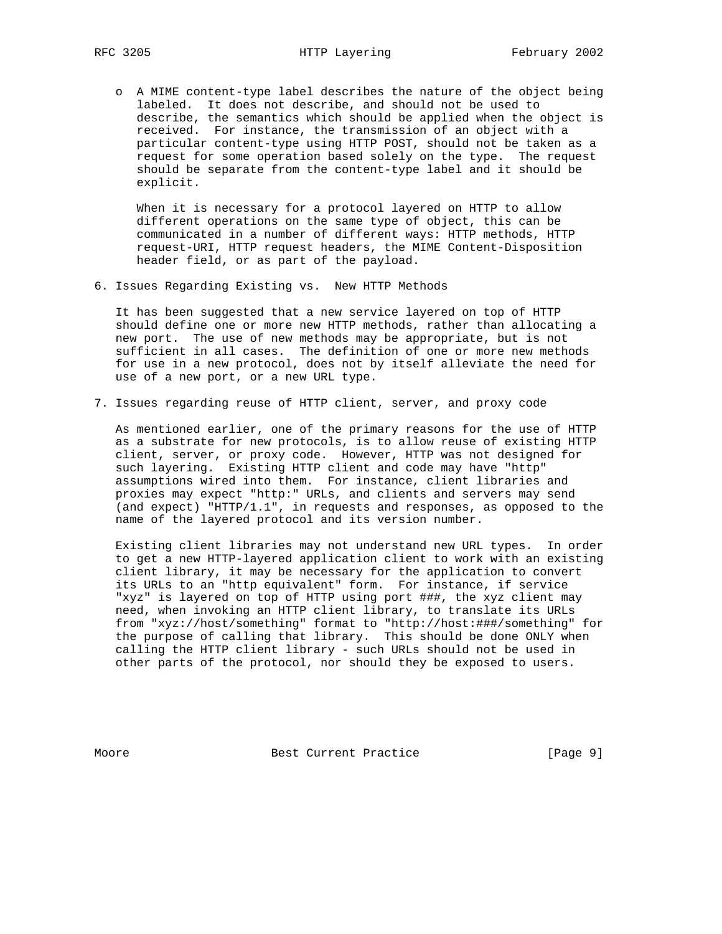o A MIME content-type label describes the nature of the object being labeled. It does not describe, and should not be used to describe, the semantics which should be applied when the object is received. For instance, the transmission of an object with a particular content-type using HTTP POST, should not be taken as a request for some operation based solely on the type. The request should be separate from the content-type label and it should be explicit.

 When it is necessary for a protocol layered on HTTP to allow different operations on the same type of object, this can be communicated in a number of different ways: HTTP methods, HTTP request-URI, HTTP request headers, the MIME Content-Disposition header field, or as part of the payload.

6. Issues Regarding Existing vs. New HTTP Methods

 It has been suggested that a new service layered on top of HTTP should define one or more new HTTP methods, rather than allocating a new port. The use of new methods may be appropriate, but is not sufficient in all cases. The definition of one or more new methods for use in a new protocol, does not by itself alleviate the need for use of a new port, or a new URL type.

7. Issues regarding reuse of HTTP client, server, and proxy code

 As mentioned earlier, one of the primary reasons for the use of HTTP as a substrate for new protocols, is to allow reuse of existing HTTP client, server, or proxy code. However, HTTP was not designed for such layering. Existing HTTP client and code may have "http" assumptions wired into them. For instance, client libraries and proxies may expect "http:" URLs, and clients and servers may send (and expect) "HTTP/1.1", in requests and responses, as opposed to the name of the layered protocol and its version number.

 Existing client libraries may not understand new URL types. In order to get a new HTTP-layered application client to work with an existing client library, it may be necessary for the application to convert its URLs to an "http equivalent" form. For instance, if service "xyz" is layered on top of HTTP using port ###, the xyz client may need, when invoking an HTTP client library, to translate its URLs from "xyz://host/something" format to "http://host:###/something" for the purpose of calling that library. This should be done ONLY when calling the HTTP client library - such URLs should not be used in other parts of the protocol, nor should they be exposed to users.

Moore Best Current Practice [Page 9]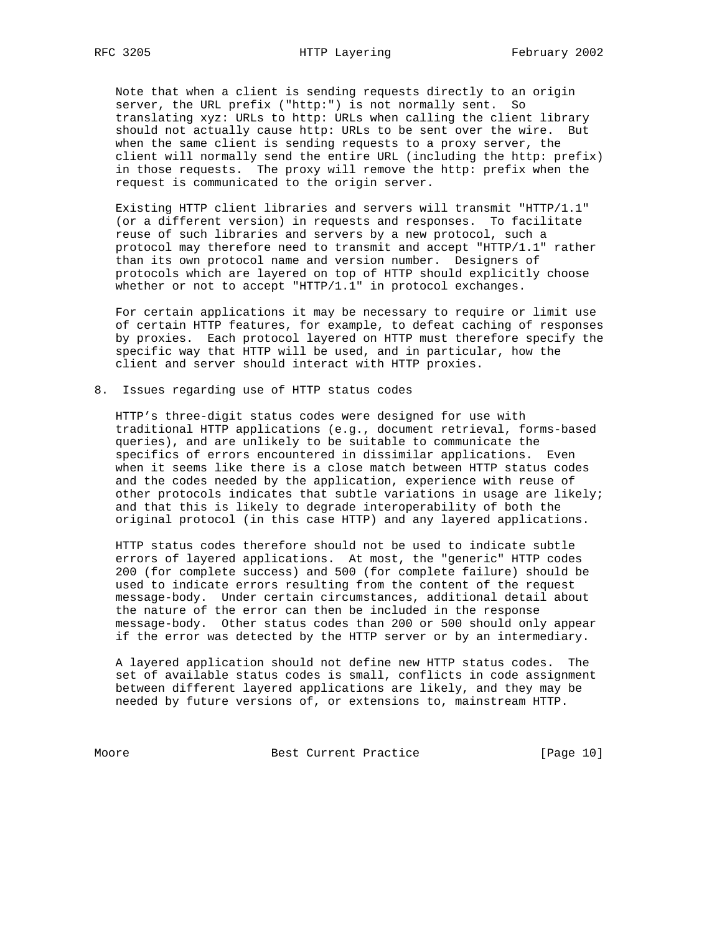Note that when a client is sending requests directly to an origin server, the URL prefix ("http:") is not normally sent. So translating xyz: URLs to http: URLs when calling the client library should not actually cause http: URLs to be sent over the wire. But when the same client is sending requests to a proxy server, the client will normally send the entire URL (including the http: prefix) in those requests. The proxy will remove the http: prefix when the request is communicated to the origin server.

 Existing HTTP client libraries and servers will transmit "HTTP/1.1" (or a different version) in requests and responses. To facilitate reuse of such libraries and servers by a new protocol, such a protocol may therefore need to transmit and accept "HTTP/1.1" rather than its own protocol name and version number. Designers of protocols which are layered on top of HTTP should explicitly choose whether or not to accept "HTTP/1.1" in protocol exchanges.

 For certain applications it may be necessary to require or limit use of certain HTTP features, for example, to defeat caching of responses by proxies. Each protocol layered on HTTP must therefore specify the specific way that HTTP will be used, and in particular, how the client and server should interact with HTTP proxies.

8. Issues regarding use of HTTP status codes

 HTTP's three-digit status codes were designed for use with traditional HTTP applications (e.g., document retrieval, forms-based queries), and are unlikely to be suitable to communicate the specifics of errors encountered in dissimilar applications. Even when it seems like there is a close match between HTTP status codes and the codes needed by the application, experience with reuse of other protocols indicates that subtle variations in usage are likely; and that this is likely to degrade interoperability of both the original protocol (in this case HTTP) and any layered applications.

 HTTP status codes therefore should not be used to indicate subtle errors of layered applications. At most, the "generic" HTTP codes 200 (for complete success) and 500 (for complete failure) should be used to indicate errors resulting from the content of the request message-body. Under certain circumstances, additional detail about the nature of the error can then be included in the response message-body. Other status codes than 200 or 500 should only appear if the error was detected by the HTTP server or by an intermediary.

 A layered application should not define new HTTP status codes. The set of available status codes is small, conflicts in code assignment between different layered applications are likely, and they may be needed by future versions of, or extensions to, mainstream HTTP.

Moore Best Current Practice [Page 10]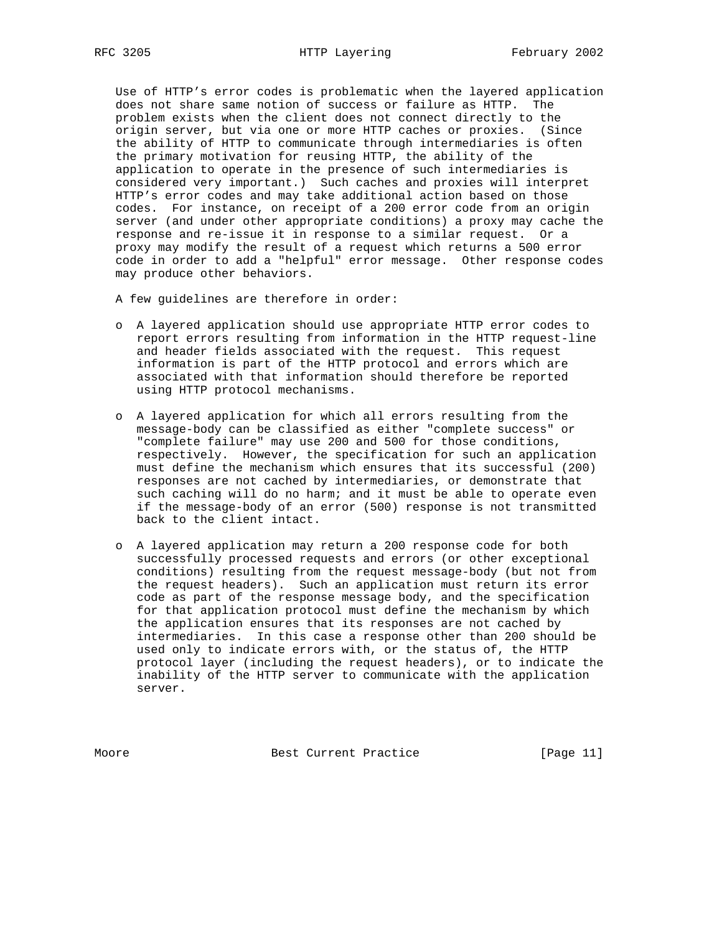Use of HTTP's error codes is problematic when the layered application does not share same notion of success or failure as HTTP. The problem exists when the client does not connect directly to the origin server, but via one or more HTTP caches or proxies. (Since the ability of HTTP to communicate through intermediaries is often the primary motivation for reusing HTTP, the ability of the application to operate in the presence of such intermediaries is considered very important.) Such caches and proxies will interpret HTTP's error codes and may take additional action based on those codes. For instance, on receipt of a 200 error code from an origin server (and under other appropriate conditions) a proxy may cache the response and re-issue it in response to a similar request. Or a proxy may modify the result of a request which returns a 500 error code in order to add a "helpful" error message. Other response codes may produce other behaviors.

A few guidelines are therefore in order:

- o A layered application should use appropriate HTTP error codes to report errors resulting from information in the HTTP request-line and header fields associated with the request. This request information is part of the HTTP protocol and errors which are associated with that information should therefore be reported using HTTP protocol mechanisms.
- o A layered application for which all errors resulting from the message-body can be classified as either "complete success" or "complete failure" may use 200 and 500 for those conditions, respectively. However, the specification for such an application must define the mechanism which ensures that its successful (200) responses are not cached by intermediaries, or demonstrate that such caching will do no harm; and it must be able to operate even if the message-body of an error (500) response is not transmitted back to the client intact.
- o A layered application may return a 200 response code for both successfully processed requests and errors (or other exceptional conditions) resulting from the request message-body (but not from the request headers). Such an application must return its error code as part of the response message body, and the specification for that application protocol must define the mechanism by which the application ensures that its responses are not cached by intermediaries. In this case a response other than 200 should be used only to indicate errors with, or the status of, the HTTP protocol layer (including the request headers), or to indicate the inability of the HTTP server to communicate with the application server.

Moore Best Current Practice [Page 11]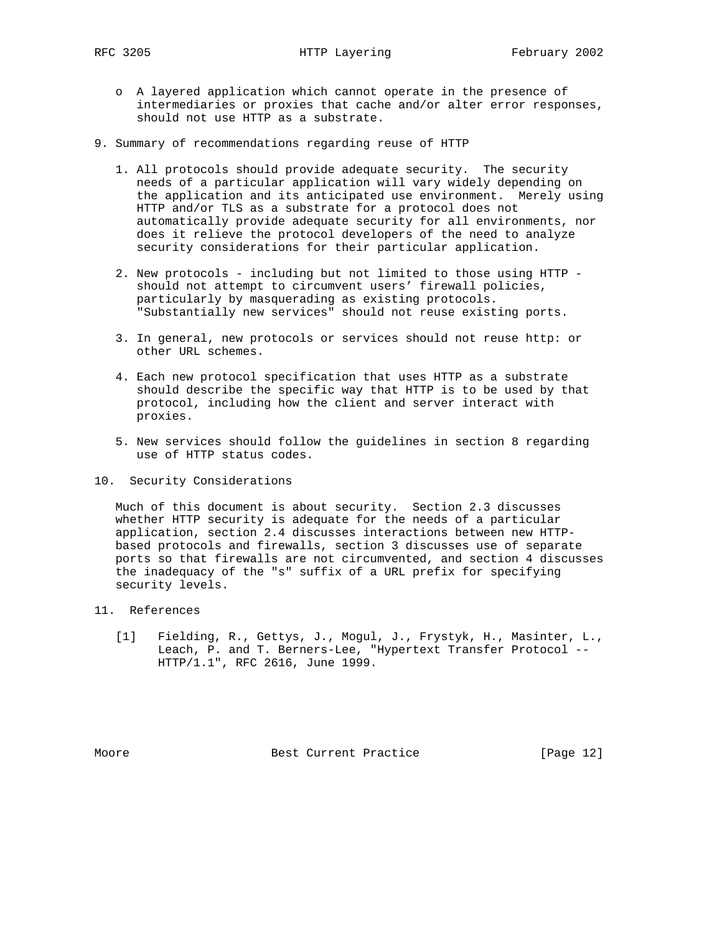- o A layered application which cannot operate in the presence of intermediaries or proxies that cache and/or alter error responses, should not use HTTP as a substrate.
- 9. Summary of recommendations regarding reuse of HTTP
	- 1. All protocols should provide adequate security. The security needs of a particular application will vary widely depending on the application and its anticipated use environment. Merely using HTTP and/or TLS as a substrate for a protocol does not automatically provide adequate security for all environments, nor does it relieve the protocol developers of the need to analyze security considerations for their particular application.
	- 2. New protocols including but not limited to those using HTTP should not attempt to circumvent users' firewall policies, particularly by masquerading as existing protocols. "Substantially new services" should not reuse existing ports.
	- 3. In general, new protocols or services should not reuse http: or other URL schemes.
	- 4. Each new protocol specification that uses HTTP as a substrate should describe the specific way that HTTP is to be used by that protocol, including how the client and server interact with proxies.
	- 5. New services should follow the guidelines in section 8 regarding use of HTTP status codes.
- 10. Security Considerations

 Much of this document is about security. Section 2.3 discusses whether HTTP security is adequate for the needs of a particular application, section 2.4 discusses interactions between new HTTP based protocols and firewalls, section 3 discusses use of separate ports so that firewalls are not circumvented, and section 4 discusses the inadequacy of the "s" suffix of a URL prefix for specifying security levels.

- 11. References
	- [1] Fielding, R., Gettys, J., Mogul, J., Frystyk, H., Masinter, L., Leach, P. and T. Berners-Lee, "Hypertext Transfer Protocol -- HTTP/1.1", RFC 2616, June 1999.

Moore **Best Current Practice** [Page 12]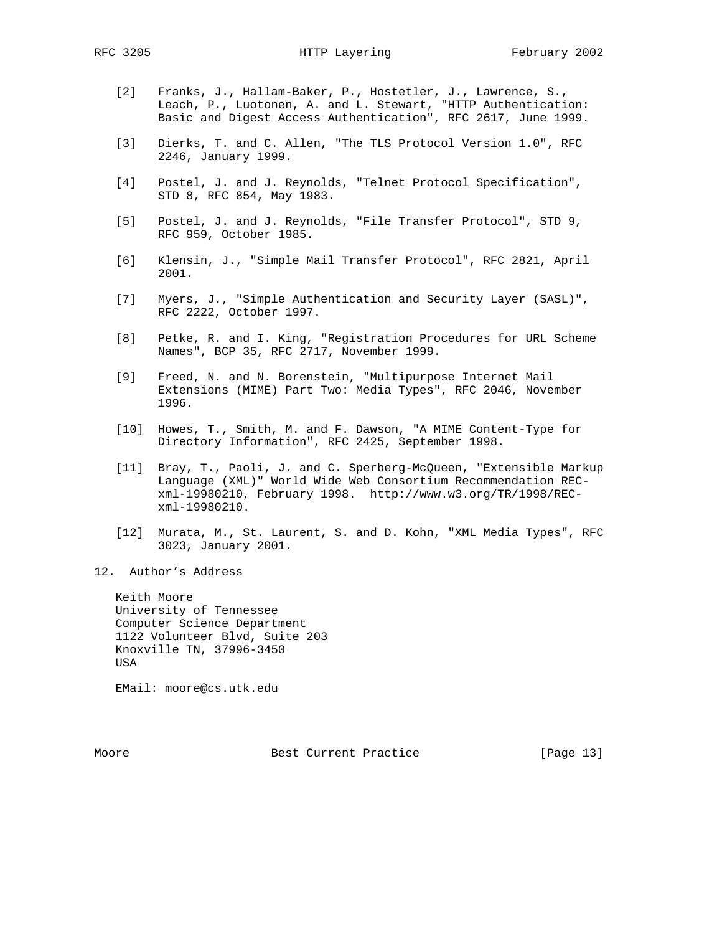- [2] Franks, J., Hallam-Baker, P., Hostetler, J., Lawrence, S., Leach, P., Luotonen, A. and L. Stewart, "HTTP Authentication: Basic and Digest Access Authentication", RFC 2617, June 1999.
	- [3] Dierks, T. and C. Allen, "The TLS Protocol Version 1.0", RFC 2246, January 1999.
	- [4] Postel, J. and J. Reynolds, "Telnet Protocol Specification", STD 8, RFC 854, May 1983.
	- [5] Postel, J. and J. Reynolds, "File Transfer Protocol", STD 9, RFC 959, October 1985.
	- [6] Klensin, J., "Simple Mail Transfer Protocol", RFC 2821, April 2001.
	- [7] Myers, J., "Simple Authentication and Security Layer (SASL)", RFC 2222, October 1997.
	- [8] Petke, R. and I. King, "Registration Procedures for URL Scheme Names", BCP 35, RFC 2717, November 1999.
	- [9] Freed, N. and N. Borenstein, "Multipurpose Internet Mail Extensions (MIME) Part Two: Media Types", RFC 2046, November 1996.
	- [10] Howes, T., Smith, M. and F. Dawson, "A MIME Content-Type for Directory Information", RFC 2425, September 1998.
	- [11] Bray, T., Paoli, J. and C. Sperberg-McQueen, "Extensible Markup Language (XML)" World Wide Web Consortium Recommendation REC xml-19980210, February 1998. http://www.w3.org/TR/1998/REC xml-19980210.
	- [12] Murata, M., St. Laurent, S. and D. Kohn, "XML Media Types", RFC 3023, January 2001.
- 12. Author's Address

 Keith Moore University of Tennessee Computer Science Department 1122 Volunteer Blvd, Suite 203 Knoxville TN, 37996-3450 USA

EMail: moore@cs.utk.edu

Moore Best Current Practice [Page 13]